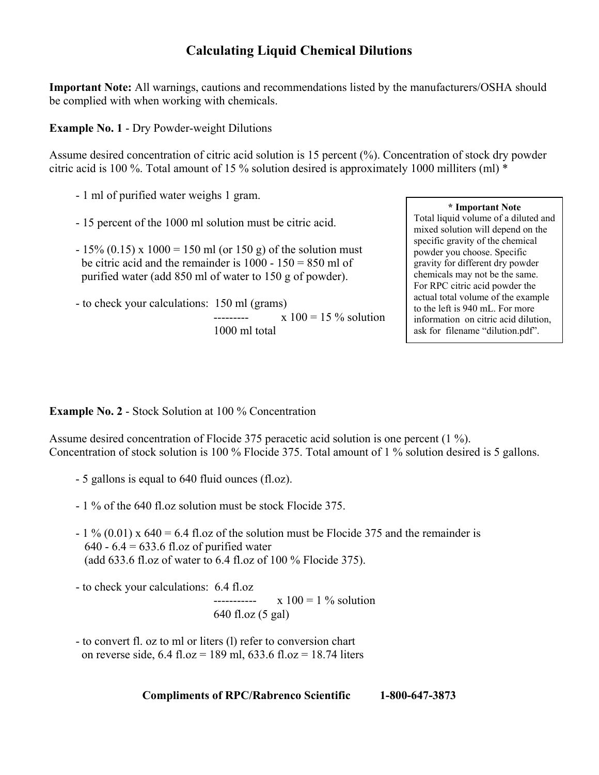## **Calculating Liquid Chemical Dilutions**

**Important Note:** All warnings, cautions and recommendations listed by the manufacturers/OSHA should be complied with when working with chemicals.

**Example No. 1** - Dry Powder-weight Dilutions

Assume desired concentration of citric acid solution is 15 percent (%). Concentration of stock dry powder citric acid is 100 %. Total amount of 15 % solution desired is approximately 1000 milliters (ml) \*

- 1 ml of purified water weighs 1 gram.
- 15 percent of the 1000 ml solution must be citric acid.
- $-15\%$  (0.15) x 1000 = 150 ml (or 150 g) of the solution must be citric acid and the remainder is  $1000 - 150 = 850$  ml of purified water (add 850 ml of water to 150 g of powder).
- to check your calculations: 150 ml (grams)  $\frac{1}{x}$  100 = 15 % solution 1000 ml total

## **\* Important Note**

Total liquid volume of a diluted and mixed solution will depend on the specific gravity of the chemical powder you choose. Specific gravity for different dry powder chemicals may not be the same. For RPC citric acid powder the actual total volume of the example to the left is 940 mL. For more information on citric acid dilution, ask for filename "dilution.pdf".

**Example No. 2** - Stock Solution at 100 % Concentration

Assume desired concentration of Flocide 375 peracetic acid solution is one percent (1 %). Concentration of stock solution is 100 % Flocide 375. Total amount of 1 % solution desired is 5 gallons.

- 5 gallons is equal to 640 fluid ounces (fl.oz).
- 1 % of the 640 fl.oz solution must be stock Flocide 375.
- $-1\%$  (0.01) x 640 = 6.4 fl.oz of the solution must be Flocide 375 and the remainder is 640 -  $6.4 = 633.6$  fl.oz of purified water (add 633.6 fl.oz of water to 6.4 fl.oz of 100 % Flocide 375).
- to check your calculations: 6.4 fl.oz

 $\frac{1}{x}$  ----------  $\frac{x}{100} = 1 \%$  solution 640 fl.oz (5 gal)

 - to convert fl. oz to ml or liters (l) refer to conversion chart on reverse side, 6.4 fl.oz = 189 ml, 633.6 fl.oz = 18.74 liters

**Compliments of RPC/Rabrenco Scientific 1-800-647-3873**